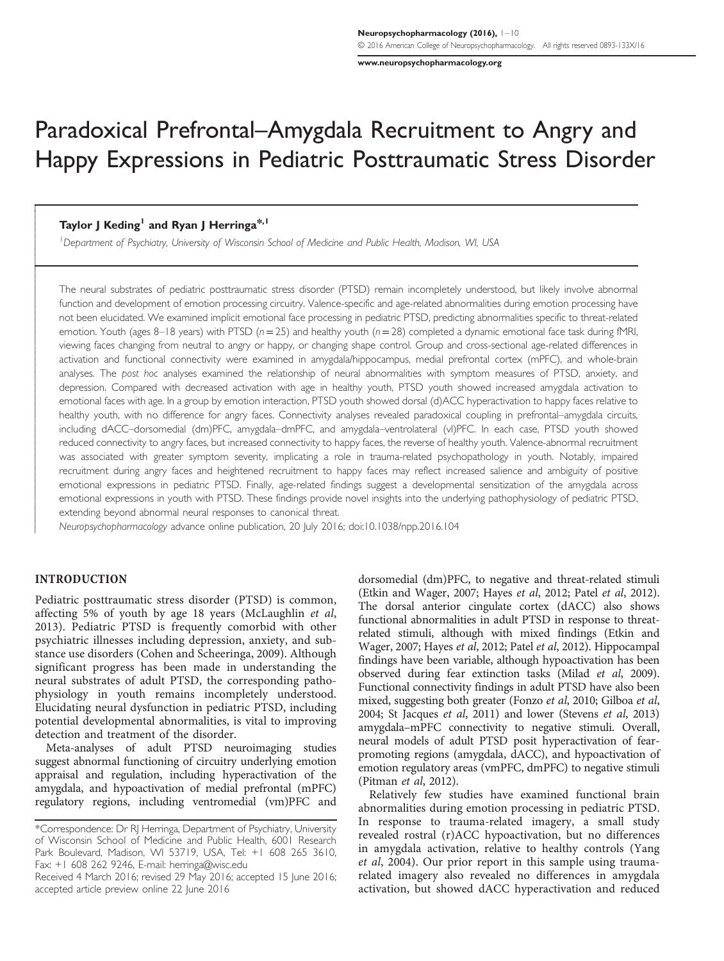[www.neuropsychopharmacology.org](http://www.neuropsychopharmacology.org)

# Paradoxical Prefrontal–Amygdala Recruitment to Angry and Happy Expressions in Pediatric Posttraumatic Stress Disorder

## Taylor I Keding<sup>1</sup> and Ryan I Herringa<sup>\*,1</sup>

<sup>1</sup>Department of Psychiatry, University of Wisconsin School of Medicine and Public Health, Madison, WI, USA

The neural substrates of pediatric posttraumatic stress disorder (PTSD) remain incompletely understood, but likely involve abnormal function and development of emotion processing circuitry. Valence-specific and age-related abnormalities during emotion processing have not been elucidated. We examined implicit emotional face processing in pediatric PTSD, predicting abnormalities specific to threat-related emotion. Youth (ages 8–18 years) with PTSD ( $n=25$ ) and healthy youth ( $n=28$ ) completed a dynamic emotional face task during fMRI, viewing faces changing from neutral to angry or happy, or changing shape control. Group and cross-sectional age-related differences in activation and functional connectivity were examined in amygdala/hippocampus, medial prefrontal cortex (mPFC), and whole-brain analyses. The post hoc analyses examined the relationship of neural abnormalities with symptom measures of PTSD, anxiety, and depression. Compared with decreased activation with age in healthy youth, PTSD youth showed increased amygdala activation to emotional faces with age. In a group by emotion interaction, PTSD youth showed dorsal (d)ACC hyperactivation to happy faces relative to healthy youth, with no difference for angry faces. Connectivity analyses revealed paradoxical coupling in prefrontal–amygdala circuits, including dACC–dorsomedial (dm)PFC, amygdala–dmPFC, and amygdala–ventrolateral (vl)PFC. In each case, PTSD youth showed reduced connectivity to angry faces, but increased connectivity to happy faces, the reverse of healthy youth. Valence-abnormal recruitment was associated with greater symptom severity, implicating a role in trauma-related psychopathology in youth. Notably, impaired recruitment during angry faces and heightened recruitment to happy faces may reflect increased salience and ambiguity of positive emotional expressions in pediatric PTSD. Finally, age-related findings suggest a developmental sensitization of the amygdala across emotional expressions in youth with PTSD. These findings provide novel insights into the underlying pathophysiology of pediatric PTSD, extending beyond abnormal neural responses to canonical threat.

Neuropsychopharmacology advance online publication, 20 July 2016; doi[:10.1038/npp.2016.104](http://dx.doi.org/10.1038/npp.2016.104)

## INTRODUCTION

Ī

l ł

 $\overline{\phantom{a}}$ 

Pediatric posttraumatic stress disorder (PTSD) is common, affecting 5% of youth by age 18 years ([McLaughlin](#page-8-0) et al, [2013\)](#page-8-0). Pediatric PTSD is frequently comorbid with other psychiatric illnesses including depression, anxiety, and substance use disorders ([Cohen and Scheeringa, 2009](#page-8-0)). Although significant progress has been made in understanding the neural substrates of adult PTSD, the corresponding pathophysiology in youth remains incompletely understood. Elucidating neural dysfunction in pediatric PTSD, including potential developmental abnormalities, is vital to improving detection and treatment of the disorder.

Meta-analyses of adult PTSD neuroimaging studies suggest abnormal functioning of circuitry underlying emotion appraisal and regulation, including hyperactivation of the amygdala, and hypoactivation of medial prefrontal (mPFC) regulatory regions, including ventromedial (vm)PFC and

dorsomedial (dm)PFC, to negative and threat-related stimuli [\(Etkin and Wager, 2007; Hayes](#page-8-0) et al[, 2012](#page-9-0); Patel et al, 2012). The dorsal anterior cingulate cortex (dACC) also shows functional abnormalities in adult PTSD in response to threatrelated stimuli, although with mixed findings [\(Etkin and](#page-8-0) [Wager, 2007](#page-8-0); [Hayes](#page-8-0) et al, 2012; Patel et al[, 2012\)](#page-9-0). Hippocampal findings have been variable, although hypoactivation has been observed during fear extinction tasks (Milad et al[, 2009](#page-8-0)). Functional connectivity findings in adult PTSD have also been mixed, suggesting both greater [\(Fonzo](#page-8-0) et al, 2010; [Gilboa](#page-8-0) et al, [2004](#page-8-0); [St Jacques](#page-9-0) et al, 2011) and lower [\(Stevens](#page-9-0) et al, 2013) amygdala–mPFC connectivity to negative stimuli. Overall, neural models of adult PTSD posit hyperactivation of fearpromoting regions (amygdala, dACC), and hypoactivation of emotion regulatory areas (vmPFC, dmPFC) to negative stimuli [\(Pitman](#page-9-0) et al, 2012).

Relatively few studies have examined functional brain abnormalities during emotion processing in pediatric PTSD. In response to trauma-related imagery, a small study revealed rostral (r)ACC hypoactivation, but no differences in amygdala activation, relative to healthy controls ([Yang](#page-9-0) et al[, 2004](#page-9-0)). Our prior report in this sample using traumarelated imagery also revealed no differences in amygdala activation, but showed dACC hyperactivation and reduced

<sup>\*</sup>Correspondence: Dr RJ Herringa, Department of Psychiatry, University of Wisconsin School of Medicine and Public Health, 6001 Research Park Boulevard, Madison, WI 53719, USA, Tel: +1 608 265 3610, Fax: +1 608 262 9246, E-mail: herringa@wisc.edu

Received 4 March 2016; revised 29 May 2016; accepted 15 June 2016; accepted article preview online 22 June 2016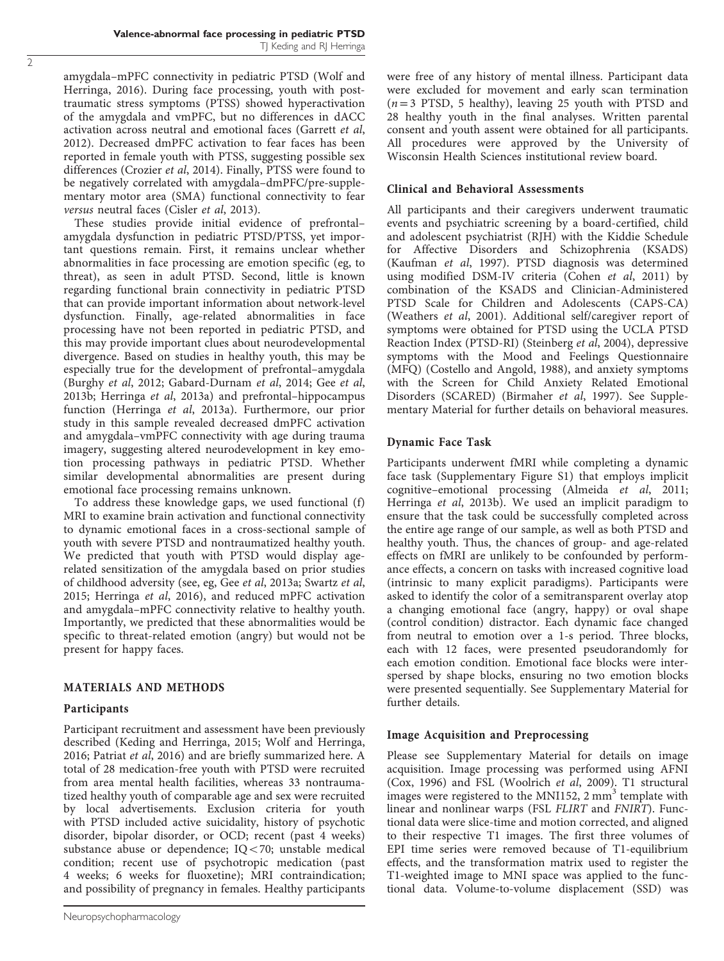amygdala–mPFC connectivity in pediatric PTSD [\(Wolf and](#page-9-0) [Herringa, 2016](#page-9-0)). During face processing, youth with posttraumatic stress symptoms (PTSS) showed hyperactivation of the amygdala and vmPFC, but no differences in dACC activation across neutral and emotional faces ([Garrett](#page-8-0) et al, [2012](#page-8-0)). Decreased dmPFC activation to fear faces has been reported in female youth with PTSS, suggesting possible sex differences ([Crozier](#page-8-0) et al, 2014). Finally, PTSS were found to be negatively correlated with amygdala–dmPFC/pre-supplementary motor area (SMA) functional connectivity to fear versus neutral faces (Cisler et al[, 2013\)](#page-8-0).

These studies provide initial evidence of prefrontal– amygdala dysfunction in pediatric PTSD/PTSS, yet important questions remain. First, it remains unclear whether abnormalities in face processing are emotion specific (eg, to threat), as seen in adult PTSD. Second, little is known regarding functional brain connectivity in pediatric PTSD that can provide important information about network-level dysfunction. Finally, age-related abnormalities in face processing have not been reported in pediatric PTSD, and this may provide important clues about neurodevelopmental divergence. Based on studies in healthy youth, this may be especially true for the development of prefrontal–amygdala ([Burghy](#page-7-0) et al, 2012; [Gabard-Durnam](#page-8-0) et al, 2014; Gee [et al](#page-8-0), [2013b; Herringa](#page-8-0) et al, 2013a) and prefrontal–hippocampus function ([Herringa](#page-8-0) et al, 2013a). Furthermore, our prior study in this sample revealed decreased dmPFC activation and amygdala–vmPFC connectivity with age during trauma imagery, suggesting altered neurodevelopment in key emotion processing pathways in pediatric PTSD. Whether similar developmental abnormalities are present during emotional face processing remains unknown.

To address these knowledge gaps, we used functional (f) MRI to examine brain activation and functional connectivity to dynamic emotional faces in a cross-sectional sample of youth with severe PTSD and nontraumatized healthy youth. We predicted that youth with PTSD would display agerelated sensitization of the amygdala based on prior studies of childhood adversity (see, eg, Gee et al[, 2013a;](#page-8-0) [Swartz](#page-9-0) et al, [2015](#page-9-0); [Herringa](#page-8-0) et al, 2016), and reduced mPFC activation and amygdala–mPFC connectivity relative to healthy youth. Importantly, we predicted that these abnormalities would be specific to threat-related emotion (angry) but would not be present for happy faces.

# MATERIALS AND METHODS

# Participants

Participant recruitment and assessment have been previously described [\(Keding and Herringa, 2015](#page-8-0); [Wolf and Herringa,](#page-9-0) [2016](#page-9-0); [Patriat](#page-9-0) et al, 2016) and are briefly summarized here. A total of 28 medication-free youth with PTSD were recruited from area mental health facilities, whereas 33 nontraumatized healthy youth of comparable age and sex were recruited by local advertisements. Exclusion criteria for youth with PTSD included active suicidality, history of psychotic disorder, bipolar disorder, or OCD; recent (past 4 weeks) substance abuse or dependence;  $IQ < 70$ ; unstable medical condition; recent use of psychotropic medication (past 4 weeks; 6 weeks for fluoxetine); MRI contraindication; and possibility of pregnancy in females. Healthy participants

were free of any history of mental illness. Participant data were excluded for movement and early scan termination  $(n=3$  PTSD, 5 healthy), leaving 25 youth with PTSD and 28 healthy youth in the final analyses. Written parental consent and youth assent were obtained for all participants. All procedures were approved by the University of Wisconsin Health Sciences institutional review board.

## Clinical and Behavioral Assessments

All participants and their caregivers underwent traumatic events and psychiatric screening by a board-certified, child and adolescent psychiatrist (RJH) with the Kiddie Schedule for Affective Disorders and Schizophrenia (KSADS) ([Kaufman](#page-8-0) et al, 1997). PTSD diagnosis was determined using modified DSM-IV criteria [\(Cohen](#page-8-0) et al, 2011) by combination of the KSADS and Clinician-Administered PTSD Scale for Children and Adolescents (CAPS-CA) ([Weathers](#page-9-0) et al, 2001). Additional self/caregiver report of symptoms were obtained for PTSD using the UCLA PTSD Reaction Index (PTSD-RI) [\(Steinberg](#page-9-0) et al, 2004), depressive symptoms with the Mood and Feelings Questionnaire (MFQ) [\(Costello and Angold, 1988\)](#page-8-0), and anxiety symptoms with the Screen for Child Anxiety Related Emotional Disorders (SCARED) [\(Birmaher](#page-7-0) et al, 1997). See Supplementary Material for further details on behavioral measures.

# Dynamic Face Task

Participants underwent fMRI while completing a dynamic face task (Supplementary Figure S1) that employs implicit cognitive–emotional processing [\(Almeida](#page-7-0) et al, 2011; [Herringa](#page-8-0) et al, 2013b). We used an implicit paradigm to ensure that the task could be successfully completed across the entire age range of our sample, as well as both PTSD and healthy youth. Thus, the chances of group- and age-related effects on fMRI are unlikely to be confounded by performance effects, a concern on tasks with increased cognitive load (intrinsic to many explicit paradigms). Participants were asked to identify the color of a semitransparent overlay atop a changing emotional face (angry, happy) or oval shape (control condition) distractor. Each dynamic face changed from neutral to emotion over a 1-s period. Three blocks, each with 12 faces, were presented pseudorandomly for each emotion condition. Emotional face blocks were interspersed by shape blocks, ensuring no two emotion blocks were presented sequentially. See Supplementary Material for further details.

# Image Acquisition and Preprocessing

Please see Supplementary Material for details on image acquisition. Image processing was performed using AFNI ([Cox, 1996](#page-8-0)) and FSL ([Woolrich](#page-9-0) et al, 2009). T1 structural images were registered to the MNI152,  $2 \text{ mm}^3$  template with linear and nonlinear warps (FSL FLIRT and FNIRT). Functional data were slice-time and motion corrected, and aligned to their respective T1 images. The first three volumes of EPI time series were removed because of T1-equilibrium effects, and the transformation matrix used to register the T1-weighted image to MNI space was applied to the functional data. Volume-to-volume displacement (SSD) was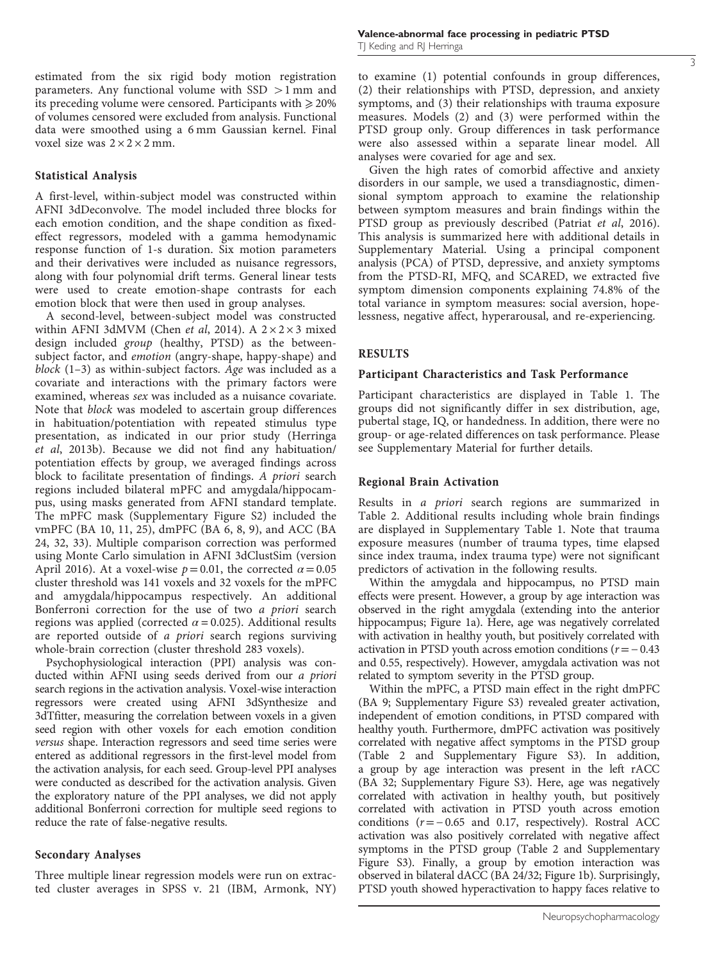estimated from the six rigid body motion registration parameters. Any functional volume with  $SSD > 1$  mm and its preceding volume were censored. Participants with  $\geq 20\%$ of volumes censored were excluded from analysis. Functional data were smoothed using a 6 mm Gaussian kernel. Final voxel size was  $2 \times 2 \times 2$  mm.

#### Statistical Analysis

A first-level, within-subject model was constructed within AFNI 3dDeconvolve. The model included three blocks for each emotion condition, and the shape condition as fixedeffect regressors, modeled with a gamma hemodynamic response function of 1-s duration. Six motion parameters and their derivatives were included as nuisance regressors, along with four polynomial drift terms. General linear tests were used to create emotion-shape contrasts for each emotion block that were then used in group analyses.

A second-level, between-subject model was constructed within AFNI 3dMVM (Chen et al[, 2014\)](#page-7-0). A  $2 \times 2 \times 3$  mixed design included group (healthy, PTSD) as the betweensubject factor, and emotion (angry-shape, happy-shape) and block (1–3) as within-subject factors. Age was included as a covariate and interactions with the primary factors were examined, whereas sex was included as a nuisance covariate. Note that block was modeled to ascertain group differences in habituation/potentiation with repeated stimulus type presentation, as indicated in our prior study [\(Herringa](#page-8-0) et al[, 2013b\)](#page-8-0). Because we did not find any habituation/ potentiation effects by group, we averaged findings across block to facilitate presentation of findings. A priori search regions included bilateral mPFC and amygdala/hippocampus, using masks generated from AFNI standard template. The mPFC mask (Supplementary Figure S2) included the vmPFC (BA 10, 11, 25), dmPFC (BA 6, 8, 9), and ACC (BA 24, 32, 33). Multiple comparison correction was performed using Monte Carlo simulation in AFNI 3dClustSim (version April 2016). At a voxel-wise  $p = 0.01$ , the corrected  $\alpha = 0.05$ cluster threshold was 141 voxels and 32 voxels for the mPFC and amygdala/hippocampus respectively. An additional Bonferroni correction for the use of two a priori search regions was applied (corrected  $\alpha$  = 0.025). Additional results are reported outside of a priori search regions surviving whole-brain correction (cluster threshold 283 voxels).

Psychophysiological interaction (PPI) analysis was conducted within AFNI using seeds derived from our a priori search regions in the activation analysis. Voxel-wise interaction regressors were created using AFNI 3dSynthesize and 3dTfitter, measuring the correlation between voxels in a given seed region with other voxels for each emotion condition versus shape. Interaction regressors and seed time series were entered as additional regressors in the first-level model from the activation analysis, for each seed. Group-level PPI analyses were conducted as described for the activation analysis. Given the exploratory nature of the PPI analyses, we did not apply additional Bonferroni correction for multiple seed regions to reduce the rate of false-negative results.

## Secondary Analyses

Three multiple linear regression models were run on extracted cluster averages in SPSS v. 21 (IBM, Armonk, NY)

to examine (1) potential confounds in group differences, (2) their relationships with PTSD, depression, and anxiety symptoms, and (3) their relationships with trauma exposure measures. Models (2) and (3) were performed within the PTSD group only. Group differences in task performance were also assessed within a separate linear model. All analyses were covaried for age and sex.

Given the high rates of comorbid affective and anxiety disorders in our sample, we used a transdiagnostic, dimensional symptom approach to examine the relationship between symptom measures and brain findings within the PTSD group as previously described [\(Patriat](#page-9-0) et al, 2016). This analysis is summarized here with additional details in Supplementary Material. Using a principal component analysis (PCA) of PTSD, depressive, and anxiety symptoms from the PTSD-RI, MFQ, and SCARED, we extracted five symptom dimension components explaining 74.8% of the total variance in symptom measures: social aversion, hopelessness, negative affect, hyperarousal, and re-experiencing.

#### RESULTS

#### Participant Characteristics and Task Performance

Participant characteristics are displayed in [Table 1.](#page-3-0) The groups did not significantly differ in sex distribution, age, pubertal stage, IQ, or handedness. In addition, there were no group- or age-related differences on task performance. Please see Supplementary Material for further details.

#### Regional Brain Activation

Results in a priori search regions are summarized in [Table 2.](#page-3-0) Additional results including whole brain findings are displayed in Supplementary Table 1. Note that trauma exposure measures (number of trauma types, time elapsed since index trauma, index trauma type) were not significant predictors of activation in the following results.

Within the amygdala and hippocampus, no PTSD main effects were present. However, a group by age interaction was observed in the right amygdala (extending into the anterior hippocampus; [Figure 1a\)](#page-4-0). Here, age was negatively correlated with activation in healthy youth, but positively correlated with activation in PTSD youth across emotion conditions  $(r=-0.43)$ and 0.55, respectively). However, amygdala activation was not related to symptom severity in the PTSD group.

Within the mPFC, a PTSD main effect in the right dmPFC (BA 9; Supplementary Figure S3) revealed greater activation, independent of emotion conditions, in PTSD compared with healthy youth. Furthermore, dmPFC activation was positively correlated with negative affect symptoms in the PTSD group [\(Table 2](#page-3-0) and Supplementary Figure S3). In addition, a group by age interaction was present in the left rACC (BA 32; Supplementary Figure S3). Here, age was negatively correlated with activation in healthy youth, but positively correlated with activation in PTSD youth across emotion conditions (r=− 0.65 and 0.17, respectively). Rostral ACC activation was also positively correlated with negative affect symptoms in the PTSD group ([Table 2](#page-3-0) and Supplementary Figure S3). Finally, a group by emotion interaction was observed in bilateral dACC (BA 24/32; [Figure 1b](#page-4-0)). Surprisingly, PTSD youth showed hyperactivation to happy faces relative to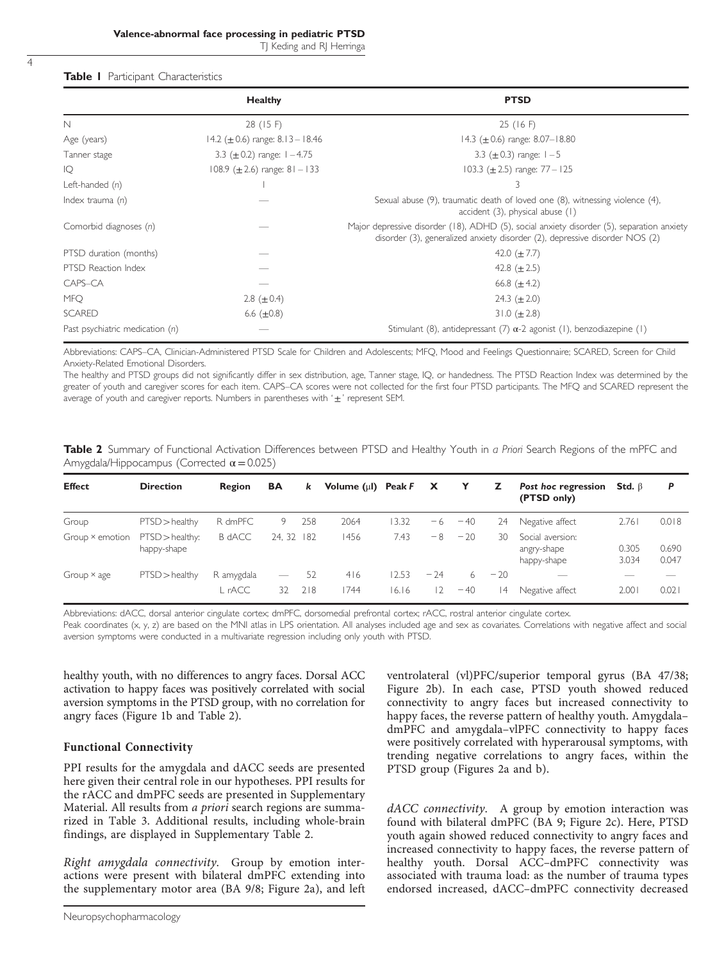## <span id="page-3-0"></span>Table | Participant Characteristics

|                                 | <b>Healthy</b>                        | <b>PTSD</b>                                                                                                                                                              |
|---------------------------------|---------------------------------------|--------------------------------------------------------------------------------------------------------------------------------------------------------------------------|
| N                               | 28 (15 F)                             | 25(16)                                                                                                                                                                   |
| Age (years)                     | 14.2 ( $\pm$ 0.6) range: 8.13 – 18.46 | 14.3 ( $\pm$ 0.6) range: 8.07–18.80                                                                                                                                      |
| Tanner stage                    | 3.3 ( $\pm$ 0.2) range: $1 - 4.75$    | 3.3 ( $\pm$ 0.3) range: $1-5$                                                                                                                                            |
| IQ                              | 108.9 ( $\pm$ 2.6) range: 81 - 133    | 103.3 ( $\pm$ 2.5) range: 77 - 125                                                                                                                                       |
| Left-handed $(n)$               |                                       | 3                                                                                                                                                                        |
| Index trauma $(n)$              |                                       | Sexual abuse (9), traumatic death of loved one (8), witnessing violence (4),<br>accident (3), physical abuse (1)                                                         |
| Comorbid diagnoses (n)          |                                       | Major depressive disorder (18), ADHD (5), social anxiety disorder (5), separation anxiety<br>disorder (3), generalized anxiety disorder (2), depressive disorder NOS (2) |
| PTSD duration (months)          |                                       | 42.0 $(\pm 7.7)$                                                                                                                                                         |
| PTSD Reaction Index             |                                       | 42.8 $(\pm 2.5)$                                                                                                                                                         |
| CAPS-CA                         |                                       | 66.8 $(\pm 4.2)$                                                                                                                                                         |
| <b>MFO</b>                      | 2.8 ( $\pm$ 0.4)                      | 24.3 $(\pm 2.0)$                                                                                                                                                         |
| <b>SCARED</b>                   | 6.6 $(\pm 0.8)$                       | 31.0 $(\pm 2.8)$                                                                                                                                                         |
| Past psychiatric medication (n) |                                       | Stimulant (8), antidepressant (7) $\alpha$ -2 agonist (1), benzodiazepine (1)                                                                                            |

Abbreviations: CAPS–CA, Clinician-Administered PTSD Scale for Children and Adolescents; MFQ, Mood and Feelings Questionnaire; SCARED, Screen for Child Anxiety-Related Emotional Disorders.

The healthy and PTSD groups did not significantly differ in sex distribution, age, Tanner stage, IQ, or handedness. The PTSD Reaction Index was determined by the greater of youth and caregiver scores for each item. CAPS–CA scores were not collected for the first four PTSD participants. The MFQ and SCARED represent the average of youth and caregiver reports. Numbers in parentheses with  $' \pm '$  represent SEM.

Table 2 Summary of Functional Activation Differences between PTSD and Healthy Youth in a Priori Search Regions of the mPFC and Amygdala/Hippocampus (Corrected  $\alpha$  = 0.025)

| <b>Effect</b>   | <b>Direction</b>                | Region        | <b>BA</b>         | k   | Volume $(\mu I)$ Peak F |       | $\mathbf{x}$ | Y     | z     | Post hoc regression<br>(PTSD only)             | Std. $\beta$   | P              |
|-----------------|---------------------------------|---------------|-------------------|-----|-------------------------|-------|--------------|-------|-------|------------------------------------------------|----------------|----------------|
| Group           | $PTSD$ > healthy                | R dmPFC       | 9                 | 258 | 2064                    | 3.32  | -6           | $-40$ | 24    | Negative affect                                | 2.761          | 0.018          |
| Group × emotion | $PTSD>$ healthy:<br>happy-shape | <b>B</b> dACC | 24, 32            | 182 | 1456                    | 7.43  | $-8$         | $-20$ | 30    | Social aversion:<br>angry-shape<br>happy-shape | 0.305<br>3.034 | 0.690<br>0.047 |
| Group × age     | $PTSD$ > healthy                | R amygdala    | $\hspace{0.05cm}$ | 52  | 416                     | 12.53 | $-24$        | 6     | $-20$ | $-$                                            | __             |                |
|                 |                                 | L rACC        | 32                | 218 | 744                     | 16.16 | 12           | $-40$ | 14    | Negative affect                                | 2.001          | 0.021          |

Abbreviations: dACC, dorsal anterior cingulate cortex; dmPFC, dorsomedial prefrontal cortex; rACC, rostral anterior cingulate cortex.

Peak coordinates (x, y, z) are based on the MNI atlas in LPS orientation. All analyses included age and sex as covariates. Correlations with negative affect and social aversion symptoms were conducted in a multivariate regression including only youth with PTSD.

healthy youth, with no differences to angry faces. Dorsal ACC activation to happy faces was positively correlated with social aversion symptoms in the PTSD group, with no correlation for angry faces ([Figure 1b](#page-4-0) and Table 2).

# Functional Connectivity

PPI results for the amygdala and dACC seeds are presented here given their central role in our hypotheses. PPI results for the rACC and dmPFC seeds are presented in Supplementary Material. All results from a priori search regions are summarized in [Table 3](#page-5-0). Additional results, including whole-brain findings, are displayed in Supplementary Table 2.

Right amygdala connectivity. Group by emotion interactions were present with bilateral dmPFC extending into the supplementary motor area (BA 9/8; [Figure 2a](#page-6-0)), and left

ventrolateral (vl)PFC/superior temporal gyrus (BA 47/38; [Figure 2b](#page-6-0)). In each case, PTSD youth showed reduced connectivity to angry faces but increased connectivity to happy faces, the reverse pattern of healthy youth. Amygdala– dmPFC and amygdala–vlPFC connectivity to happy faces were positively correlated with hyperarousal symptoms, with trending negative correlations to angry faces, within the PTSD group ([Figures 2a and b](#page-6-0)).

dACC connectivity. A group by emotion interaction was found with bilateral dmPFC (BA 9; [Figure 2c](#page-6-0)). Here, PTSD youth again showed reduced connectivity to angry faces and increased connectivity to happy faces, the reverse pattern of healthy youth. Dorsal ACC–dmPFC connectivity was associated with trauma load: as the number of trauma types endorsed increased, dACC–dmPFC connectivity decreased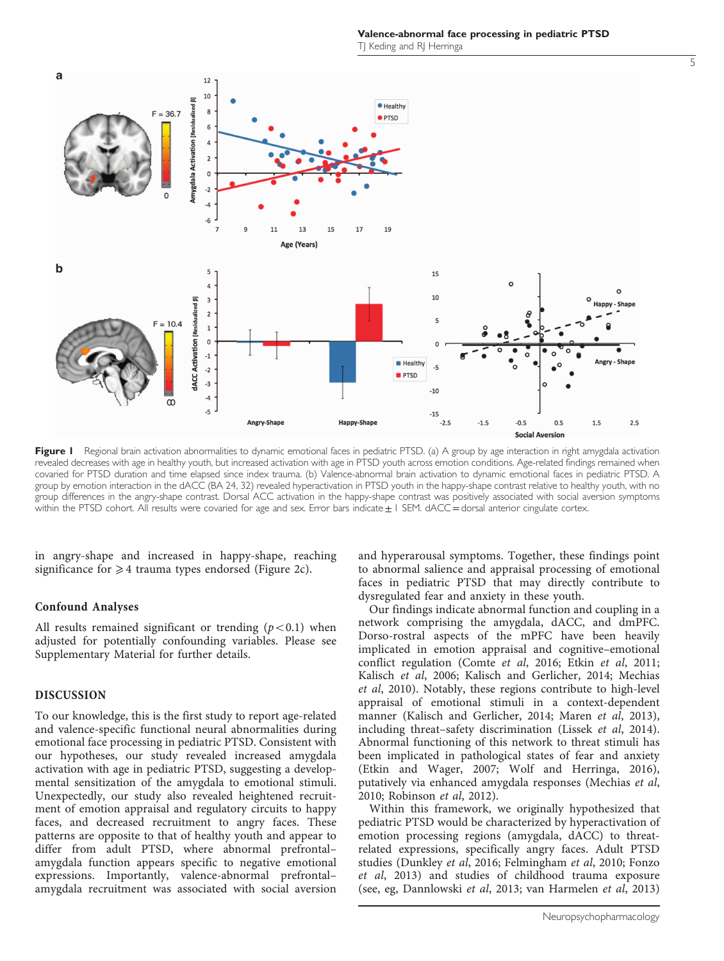Valence-abnormal face processing in pediatric PTSD TJ Keding and RJ Herringa

<span id="page-4-0"></span>

Figure I Regional brain activation abnormalities to dynamic emotional faces in pediatric PTSD. (a) A group by age interaction in right amygdala activation revealed decreases with age in healthy youth, but increased activation with age in PTSD youth across emotion conditions. Age-related findings remained when covaried for PTSD duration and time elapsed since index trauma. (b) Valence-abnormal brain activation to dynamic emotional faces in pediatric PTSD. A group by emotion interaction in the dACC (BA 24, 32) revealed hyperactivation in PTSD youth in the happy-shape contrast relative to healthy youth, with no group differences in the angry-shape contrast. Dorsal ACC activation in the happy-shape contrast was positively associated with social aversion symptoms within the PTSD cohort. All results were covaried for age and sex. Error bars indicate  $\pm 1$  SEM. dACC = dorsal anterior cingulate cortex.

in angry-shape and increased in happy-shape, reaching significance for  $\geq 4$  trauma types endorsed ([Figure 2c](#page-6-0)).

#### Confound Analyses

All results remained significant or trending  $(p<0.1)$  when adjusted for potentially confounding variables. Please see Supplementary Material for further details.

## DISCUSSION

To our knowledge, this is the first study to report age-related and valence-specific functional neural abnormalities during emotional face processing in pediatric PTSD. Consistent with our hypotheses, our study revealed increased amygdala activation with age in pediatric PTSD, suggesting a developmental sensitization of the amygdala to emotional stimuli. Unexpectedly, our study also revealed heightened recruitment of emotion appraisal and regulatory circuits to happy faces, and decreased recruitment to angry faces. These patterns are opposite to that of healthy youth and appear to differ from adult PTSD, where abnormal prefrontal– amygdala function appears specific to negative emotional expressions. Importantly, valence-abnormal prefrontal– amygdala recruitment was associated with social aversion

and hyperarousal symptoms. Together, these findings point to abnormal salience and appraisal processing of emotional faces in pediatric PTSD that may directly contribute to dysregulated fear and anxiety in these youth.

Our findings indicate abnormal function and coupling in a network comprising the amygdala, dACC, and dmPFC. Dorso-rostral aspects of the mPFC have been heavily implicated in emotion appraisal and cognitive–emotional conflict regulation [\(Comte](#page-8-0) et al, 2016; Etkin et al[, 2011;](#page-8-0) [Kalisch](#page-8-0) et al, 2006; [Kalisch and Gerlicher, 2014; Mechias](#page-8-0) et al[, 2010\)](#page-8-0). Notably, these regions contribute to high-level appraisal of emotional stimuli in a context-dependent manner ([Kalisch and Gerlicher, 2014](#page-8-0); [Maren](#page-8-0) et al, 2013), including threat–safety discrimination (Lissek et al[, 2014](#page-8-0)). Abnormal functioning of this network to threat stimuli has been implicated in pathological states of fear and anxiety [\(Etkin and Wager, 2007](#page-8-0); [Wolf and Herringa, 2016](#page-9-0)), putatively via enhanced amygdala responses [\(Mechias](#page-8-0) et al, [2010;](#page-8-0) [Robinson](#page-9-0) et al, 2012).

Within this framework, we originally hypothesized that pediatric PTSD would be characterized by hyperactivation of emotion processing regions (amygdala, dACC) to threatrelated expressions, specifically angry faces. Adult PTSD studies ([Dunkley](#page-8-0) et al, 2016; [Felmingham](#page-8-0) et al, 2010; [Fonzo](#page-8-0) et al[, 2013](#page-8-0)) and studies of childhood trauma exposure (see, eg, [Dannlowski](#page-8-0) et al, 2013; [van Harmelen](#page-9-0) et al, 2013)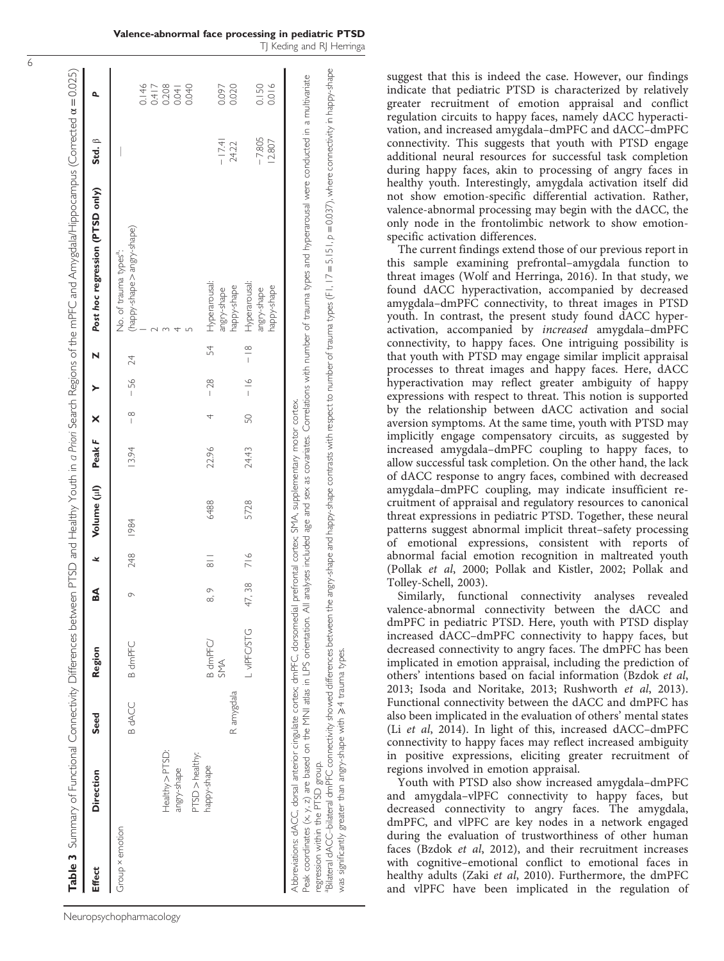<span id="page-5-0"></span>

|                                   |                                                                                                                                                                                                                                    |            |                 |           |                    |                                                     |        |               |               |               | Table 3 Summary of Functional Connectivity Differences between PTSD and Healthy Youth in a Priori Search Regions of the mPFC and Amygdala/Hippocampus (Corrected a=0.025)                                                                                                                                                                                               |                    |                                  |
|-----------------------------------|------------------------------------------------------------------------------------------------------------------------------------------------------------------------------------------------------------------------------------|------------|-----------------|-----------|--------------------|-----------------------------------------------------|--------|---------------|---------------|---------------|-------------------------------------------------------------------------------------------------------------------------------------------------------------------------------------------------------------------------------------------------------------------------------------------------------------------------------------------------------------------------|--------------------|----------------------------------|
| <b>Effect</b>                     | <b>Direction</b>                                                                                                                                                                                                                   | Seed       | Region          | ธี        | ⊻                  | Volume (µl)                                         | Peak F | ×             |               | N             | Post hoc regression (PTSD only)                                                                                                                                                                                                                                                                                                                                         | Std. β             |                                  |
| Group × emotion                   | Healthy > PTSD:<br>PTSD > healthy:<br>angry-shape                                                                                                                                                                                  | B dACC     | <b>B</b> dmPFC  | $\circ$   | 248                | 1984                                                | 13.94  | $\frac{8}{1}$ | $-56$         | 24            | (happy-shape > angry-shape)<br>No. of trauma types <sup>a</sup> :                                                                                                                                                                                                                                                                                                       |                    | 0.146<br>0.417<br>0.208<br>0.040 |
|                                   | happy-shape                                                                                                                                                                                                                        | R amygdala | B dmPFC/<br>SMA | $\circ$   | $\frac{1}{\infty}$ | 6488                                                | 22.96  |               | $-28$         | 54            | Hyperarousal:<br>happy-shape<br>angry-shape                                                                                                                                                                                                                                                                                                                             | $-17.41$<br>24.22  | 0.097<br>0.020                   |
|                                   |                                                                                                                                                                                                                                    |            | L VIPFC/STG     | 7,38<br>4 | 716                | 5728                                                | 24.43  | SO            | $\frac{6}{1}$ | $\frac{8}{1}$ | Hyperarousal:<br>happy-shape<br>angry-shape                                                                                                                                                                                                                                                                                                                             | $-7,805$<br>12.807 | 0.150<br>0.016                   |
| regression within the PTSD group. | "Bilateral dACC-bilateral dmPFC connectivity showed differences between the<br>Abbreviations: dACC, dorsal anterior cingulate cortex; dmPFC, dorsomedial<br>was significantly greater than angry-shape with $\geq 4$ trauma types. |            |                 |           |                    | prefrontal cortex; SMA, supplementary motor cortex. |        |               |               |               | angy-shape and happy-shape contrasts with respect to number of trauma types (F I, 1.7 = 5.151, $p$ = 0.037), where connectivity in happy-shape<br>Peak coordinates (x, y, z) are based on the MNI atlas in LPS orientation. All analyses included age and sex as covariates. Correlations with number of trauma types and hyperarousal were conducted in a multivariate |                    |                                  |

suggest that this is indeed the case. However, our findings indicate that pediatric PTSD is characterized by relatively greater recruitment of emotion appraisal and conflict regulation circuits to happy faces, namely dACC hyperactivation, and increased amygdala–dmPFC and dACC–dmPFC connectivity. This suggests that youth with PTSD engage additional neural resources for successful task completion during happy faces, akin to processing of angry faces in healthy youth. Interestingly, amygdala activation itself did not show emotion-specific differential activation. Rather, valence-abnormal processing may begin with the dACC, the only node in the frontolimbic network to show emotionspecific activation differences.

The current findings extend those of our previous report in this sample examining prefrontal–amygdala function to threat images [\(Wolf and Herringa, 2016\)](#page-9-0). In that study, we found dACC hyperactivation, accompanied by decreased amygdala–dmPFC connectivity, to threat images in PTSD youth. In contrast, the present study found dACC hyperactivation, accompanied by increased amygdala–dmPFC connectivity, to happy faces. One intriguing possibility is that youth with PTSD may engage similar implicit appraisal processes to threat images and happy faces. Here, dACC hyperactivation may reflect greater ambiguity of happy expressions with respect to threat. This notion is supported by the relationship between dACC activation and social aversion symptoms. At the same time, youth with PTSD may implicitly engage compensatory circuits, as suggested by increased amygdala–dmPFC coupling to happy faces, to allow successful task completion. On the other hand, the lack of dACC response to angry faces, combined with decreased amygdala–dmPFC coupling, may indicate insufficient recruitment of appraisal and regulatory resources to canonical threat expressions in pediatric PTSD. Together, these neural patterns suggest abnormal implicit threat–safety processing of emotional expressions, consistent with reports of abnormal facial emotion recognition in maltreated youth (Pollak et al[, 2000; Pollak and Kistler, 2002; Pollak and](#page-9-0) [Tolley-Schell, 2003\)](#page-9-0).

Similarly, functional connectivity analyses revealed valence-abnormal connectivity between the dACC and dmPFC in pediatric PTSD. Here, youth with PTSD display increased dACC–dmPFC connectivity to happy faces, but decreased connectivity to angry faces. The dmPFC has been implicated in emotion appraisal, including the prediction of others' intentions based on facial information ([Bzdok](#page-7-0) et al, [2013](#page-7-0); [Isoda and Noritake, 2013;](#page-8-0) [Rushworth](#page-9-0) et al, 2013). Functional connectivity between the dACC and dmPFC has also been implicated in the evaluation of others' mental states (Li et al[, 2014\)](#page-8-0). In light of this, increased dACC–dmPFC connectivity to happy faces may reflect increased ambiguity in positive expressions, eliciting greater recruitment of regions involved in emotion appraisal.

Youth with PTSD also show increased amygdala–dmPFC and amygdala–vlPFC connectivity to happy faces, but decreased connectivity to angry faces. The amygdala, dmPFC, and vlPFC are key nodes in a network engaged during the evaluation of trustworthiness of other human faces [\(Bzdok](#page-7-0) et al, 2012), and their recruitment increases with cognitive–emotional conflict to emotional faces in healthy adults (Zaki et al[, 2010](#page-9-0)). Furthermore, the dmPFC and vlPFC have been implicated in the regulation of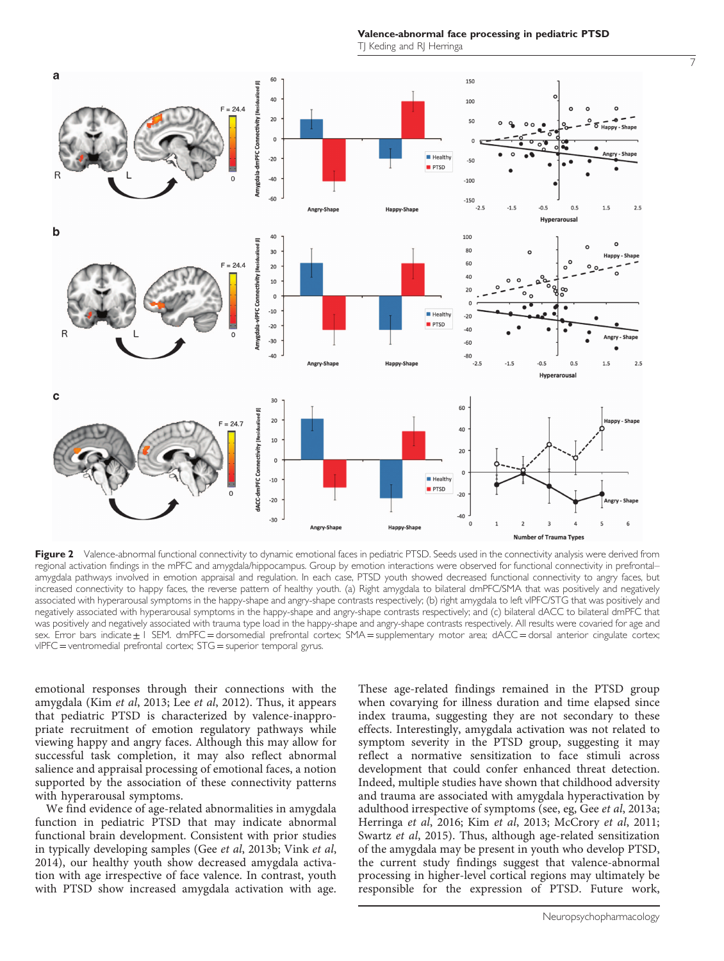Valence-abnormal face processing in pediatric PTSD TJ Keding and RJ Herringa

<span id="page-6-0"></span>

Figure 2 Valence-abnormal functional connectivity to dynamic emotional faces in pediatric PTSD. Seeds used in the connectivity analysis were derived from regional activation findings in the mPFC and amygdala/hippocampus. Group by emotion interactions were observed for functional connectivity in prefrontal– amygdala pathways involved in emotion appraisal and regulation. In each case, PTSD youth showed decreased functional connectivity to angry faces, but increased connectivity to happy faces, the reverse pattern of healthy youth. (a) Right amygdala to bilateral dmPFC/SMA that was positively and negatively associated with hyperarousal symptoms in the happy-shape and angry-shape contrasts respectively; (b) right amygdala to left vlPFC/STG that was positively and negatively associated with hyperarousal symptoms in the happy-shape and angry-shape contrasts respectively; and (c) bilateral dACC to bilateral dmPFC that was positively and negatively associated with trauma type load in the happy-shape and angry-shape contrasts respectively. All results were covaried for age and sex. Error bars indicate i SEM. dmPFC = dorsomedial prefrontal cortex; SMA = supplementary motor area; dACC = dorsal anterior cingulate cortex; vlPFC =ventromedial prefrontal cortex; STG = superior temporal gyrus.

emotional responses through their connections with the amygdala (Kim et al[, 2013](#page-8-0); Lee et al[, 2012\)](#page-8-0). Thus, it appears that pediatric PTSD is characterized by valence-inappropriate recruitment of emotion regulatory pathways while viewing happy and angry faces. Although this may allow for successful task completion, it may also reflect abnormal salience and appraisal processing of emotional faces, a notion supported by the association of these connectivity patterns with hyperarousal symptoms.

We find evidence of age-related abnormalities in amygdala function in pediatric PTSD that may indicate abnormal functional brain development. Consistent with prior studies in typically developing samples (Gee et al[, 2013b;](#page-8-0) [Vink](#page-9-0) et al, [2014\)](#page-9-0), our healthy youth show decreased amygdala activation with age irrespective of face valence. In contrast, youth with PTSD show increased amygdala activation with age.

These age-related findings remained in the PTSD group when covarying for illness duration and time elapsed since index trauma, suggesting they are not secondary to these effects. Interestingly, amygdala activation was not related to symptom severity in the PTSD group, suggesting it may reflect a normative sensitization to face stimuli across development that could confer enhanced threat detection. Indeed, multiple studies have shown that childhood adversity and trauma are associated with amygdala hyperactivation by adulthood irrespective of symptoms (see, eg, Gee et al[, 2013a;](#page-8-0) [Herringa](#page-8-0) et al, 2016; Kim et al[, 2013](#page-8-0); [McCrory](#page-8-0) et al, 2011; [Swartz](#page-9-0) et al, 2015). Thus, although age-related sensitization of the amygdala may be present in youth who develop PTSD, the current study findings suggest that valence-abnormal processing in higher-level cortical regions may ultimately be responsible for the expression of PTSD. Future work,

7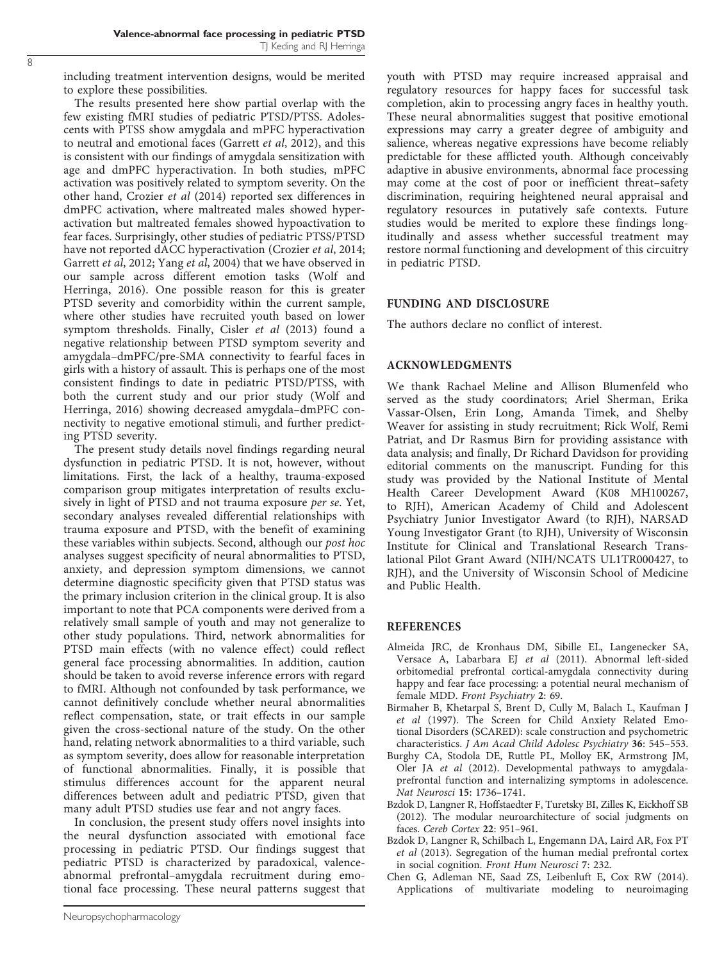<span id="page-7-0"></span>including treatment intervention designs, would be merited to explore these possibilities.

The results presented here show partial overlap with the few existing fMRI studies of pediatric PTSD/PTSS. Adolescents with PTSS show amygdala and mPFC hyperactivation to neutral and emotional faces ([Garrett](#page-8-0) et al, 2012), and this is consistent with our findings of amygdala sensitization with age and dmPFC hyperactivation. In both studies, mPFC activation was positively related to symptom severity. On the other hand, [Crozier](#page-8-0) et al (2014) reported sex differences in dmPFC activation, where maltreated males showed hyperactivation but maltreated females showed hypoactivation to fear faces. Surprisingly, other studies of pediatric PTSS/PTSD have not reported dACC hyperactivation [\(Crozier](#page-8-0) et al, 2014; [Garrett](#page-8-0) et al, 2012; Yang et al[, 2004](#page-9-0)) that we have observed in our sample across different emotion tasks [\(Wolf and](#page-9-0) [Herringa, 2016](#page-9-0)). One possible reason for this is greater PTSD severity and comorbidity within the current sample, where other studies have recruited youth based on lower symptom thresholds. Finally, [Cisler](#page-8-0) et al (2013) found a negative relationship between PTSD symptom severity and amygdala–dmPFC/pre-SMA connectivity to fearful faces in girls with a history of assault. This is perhaps one of the most consistent findings to date in pediatric PTSD/PTSS, with both the current study and our prior study ([Wolf and](#page-9-0) [Herringa, 2016](#page-9-0)) showing decreased amygdala–dmPFC connectivity to negative emotional stimuli, and further predicting PTSD severity.

The present study details novel findings regarding neural dysfunction in pediatric PTSD. It is not, however, without limitations. First, the lack of a healthy, trauma-exposed comparison group mitigates interpretation of results exclusively in light of PTSD and not trauma exposure per se. Yet, secondary analyses revealed differential relationships with trauma exposure and PTSD, with the benefit of examining these variables within subjects. Second, although our post hoc analyses suggest specificity of neural abnormalities to PTSD, anxiety, and depression symptom dimensions, we cannot determine diagnostic specificity given that PTSD status was the primary inclusion criterion in the clinical group. It is also important to note that PCA components were derived from a relatively small sample of youth and may not generalize to other study populations. Third, network abnormalities for PTSD main effects (with no valence effect) could reflect general face processing abnormalities. In addition, caution should be taken to avoid reverse inference errors with regard to fMRI. Although not confounded by task performance, we cannot definitively conclude whether neural abnormalities reflect compensation, state, or trait effects in our sample given the cross-sectional nature of the study. On the other hand, relating network abnormalities to a third variable, such as symptom severity, does allow for reasonable interpretation of functional abnormalities. Finally, it is possible that stimulus differences account for the apparent neural differences between adult and pediatric PTSD, given that many adult PTSD studies use fear and not angry faces.

In conclusion, the present study offers novel insights into the neural dysfunction associated with emotional face processing in pediatric PTSD. Our findings suggest that pediatric PTSD is characterized by paradoxical, valenceabnormal prefrontal–amygdala recruitment during emotional face processing. These neural patterns suggest that youth with PTSD may require increased appraisal and regulatory resources for happy faces for successful task completion, akin to processing angry faces in healthy youth. These neural abnormalities suggest that positive emotional expressions may carry a greater degree of ambiguity and salience, whereas negative expressions have become reliably predictable for these afflicted youth. Although conceivably adaptive in abusive environments, abnormal face processing may come at the cost of poor or inefficient threat–safety discrimination, requiring heightened neural appraisal and regulatory resources in putatively safe contexts. Future studies would be merited to explore these findings longitudinally and assess whether successful treatment may restore normal functioning and development of this circuitry in pediatric PTSD.

#### FUNDING AND DISCLOSURE

The authors declare no conflict of interest.

## ACKNOWLEDGMENTS

We thank Rachael Meline and Allison Blumenfeld who served as the study coordinators; Ariel Sherman, Erika Vassar-Olsen, Erin Long, Amanda Timek, and Shelby Weaver for assisting in study recruitment; Rick Wolf, Remi Patriat, and Dr Rasmus Birn for providing assistance with data analysis; and finally, Dr Richard Davidson for providing editorial comments on the manuscript. Funding for this study was provided by the National Institute of Mental Health Career Development Award (K08 MH100267, to RJH), American Academy of Child and Adolescent Psychiatry Junior Investigator Award (to RJH), NARSAD Young Investigator Grant (to RJH), University of Wisconsin Institute for Clinical and Translational Research Translational Pilot Grant Award (NIH/NCATS UL1TR000427, to RJH), and the University of Wisconsin School of Medicine and Public Health.

#### REFERENCES

- Almeida JRC, de Kronhaus DM, Sibille EL, Langenecker SA, Versace A, Labarbara EJ et al (2011). Abnormal left-sided orbitomedial prefrontal cortical-amygdala connectivity during happy and fear face processing: a potential neural mechanism of female MDD. Front Psychiatry 2: 69.
- Birmaher B, Khetarpal S, Brent D, Cully M, Balach L, Kaufman J et al (1997). The Screen for Child Anxiety Related Emotional Disorders (SCARED): scale construction and psychometric characteristics. J Am Acad Child Adolesc Psychiatry 36: 545–553.
- Burghy CA, Stodola DE, Ruttle PL, Molloy EK, Armstrong JM, Oler JA et al (2012). Developmental pathways to amygdalaprefrontal function and internalizing symptoms in adolescence. Nat Neurosci 15: 1736–1741.
- Bzdok D, Langner R, Hoffstaedter F, Turetsky BI, Zilles K, Eickhoff SB (2012). The modular neuroarchitecture of social judgments on faces. Cereb Cortex 22: 951–961.
- Bzdok D, Langner R, Schilbach L, Engemann DA, Laird AR, Fox PT et al (2013). Segregation of the human medial prefrontal cortex in social cognition. Front Hum Neurosci 7: 232.
- Chen G, Adleman NE, Saad ZS, Leibenluft E, Cox RW (2014). Applications of multivariate modeling to neuroimaging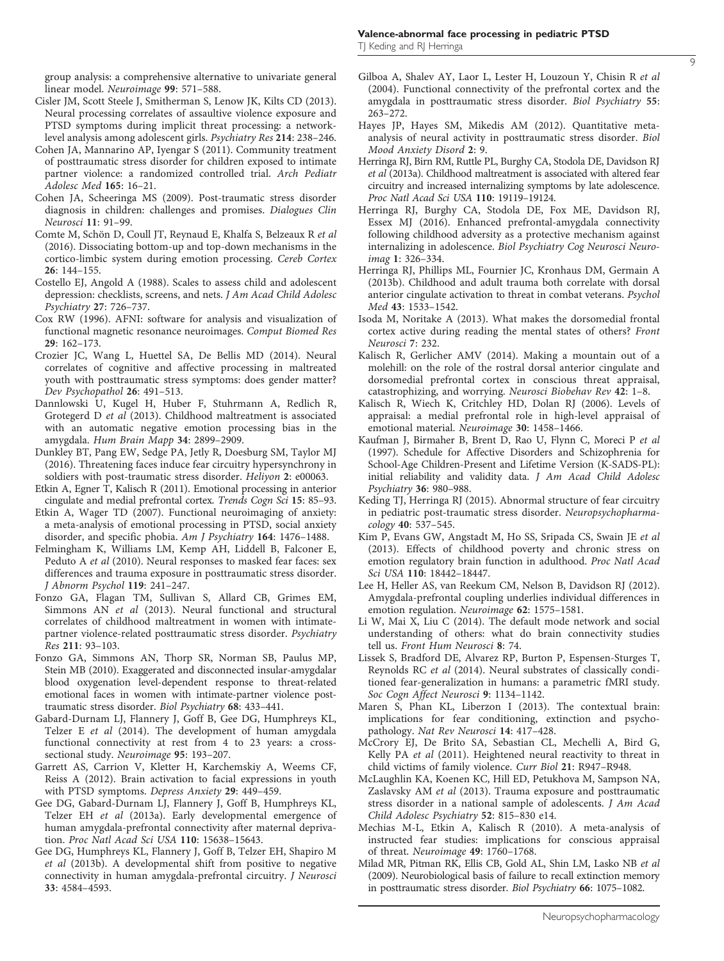<span id="page-8-0"></span>group analysis: a comprehensive alternative to univariate general linear model. Neuroimage 99: 571–588.

- Cisler JM, Scott Steele J, Smitherman S, Lenow JK, Kilts CD (2013). Neural processing correlates of assaultive violence exposure and PTSD symptoms during implicit threat processing: a networklevel analysis among adolescent girls. Psychiatry Res 214: 238–246.
- Cohen JA, Mannarino AP, Iyengar S (2011). Community treatment of posttraumatic stress disorder for children exposed to intimate partner violence: a randomized controlled trial. Arch Pediatr Adolesc Med 165: 16–21.
- Cohen JA, Scheeringa MS (2009). Post-traumatic stress disorder diagnosis in children: challenges and promises. Dialogues Clin Neurosci 11: 91–99.
- Comte M, Schön D, Coull JT, Reynaud E, Khalfa S, Belzeaux R et al (2016). Dissociating bottom-up and top-down mechanisms in the cortico-limbic system during emotion processing. Cereb Cortex 26: 144–155.
- Costello EJ, Angold A (1988). Scales to assess child and adolescent depression: checklists, screens, and nets. J Am Acad Child Adolesc Psychiatry 27: 726–737.
- Cox RW (1996). AFNI: software for analysis and visualization of functional magnetic resonance neuroimages. Comput Biomed Res 29: 162–173.
- Crozier JC, Wang L, Huettel SA, De Bellis MD (2014). Neural correlates of cognitive and affective processing in maltreated youth with posttraumatic stress symptoms: does gender matter? Dev Psychopathol 26: 491–513.
- Dannlowski U, Kugel H, Huber F, Stuhrmann A, Redlich R, Grotegerd D et al (2013). Childhood maltreatment is associated with an automatic negative emotion processing bias in the amygdala. Hum Brain Mapp 34: 2899–2909.
- Dunkley BT, Pang EW, Sedge PA, Jetly R, Doesburg SM, Taylor MJ (2016). Threatening faces induce fear circuitry hypersynchrony in soldiers with post-traumatic stress disorder. Heliyon 2: e00063.
- Etkin A, Egner T, Kalisch R (2011). Emotional processing in anterior cingulate and medial prefrontal cortex. Trends Cogn Sci 15: 85–93.
- Etkin A, Wager TD (2007). Functional neuroimaging of anxiety: a meta-analysis of emotional processing in PTSD, social anxiety disorder, and specific phobia. Am J Psychiatry 164: 1476–1488.
- Felmingham K, Williams LM, Kemp AH, Liddell B, Falconer E, Peduto A et al (2010). Neural responses to masked fear faces: sex differences and trauma exposure in posttraumatic stress disorder. J Abnorm Psychol 119: 241–247.
- Fonzo GA, Flagan TM, Sullivan S, Allard CB, Grimes EM, Simmons AN et al (2013). Neural functional and structural correlates of childhood maltreatment in women with intimatepartner violence-related posttraumatic stress disorder. Psychiatry Res 211: 93–103.
- Fonzo GA, Simmons AN, Thorp SR, Norman SB, Paulus MP, Stein MB (2010). Exaggerated and disconnected insular-amygdalar blood oxygenation level-dependent response to threat-related emotional faces in women with intimate-partner violence posttraumatic stress disorder. Biol Psychiatry 68: 433–441.
- Gabard-Durnam LJ, Flannery J, Goff B, Gee DG, Humphreys KL, Telzer E et al (2014). The development of human amygdala functional connectivity at rest from 4 to 23 years: a crosssectional study. Neuroimage 95: 193–207.
- Garrett AS, Carrion V, Kletter H, Karchemskiy A, Weems CF, Reiss A (2012). Brain activation to facial expressions in youth with PTSD symptoms. Depress Anxiety 29: 449–459.
- Gee DG, Gabard-Durnam LJ, Flannery J, Goff B, Humphreys KL, Telzer EH et al (2013a). Early developmental emergence of human amygdala-prefrontal connectivity after maternal deprivation. Proc Natl Acad Sci USA 110: 15638–15643.
- Gee DG, Humphreys KL, Flannery J, Goff B, Telzer EH, Shapiro M et al (2013b). A developmental shift from positive to negative connectivity in human amygdala-prefrontal circuitry. J Neurosci 33: 4584–4593.
- Gilboa A, Shalev AY, Laor L, Lester H, Louzoun Y, Chisin R et al (2004). Functional connectivity of the prefrontal cortex and the amygdala in posttraumatic stress disorder. Biol Psychiatry 55: 263–272.
- Hayes JP, Hayes SM, Mikedis AM (2012). Quantitative metaanalysis of neural activity in posttraumatic stress disorder. Biol Mood Anxiety Disord 2: 9.
- Herringa RJ, Birn RM, Ruttle PL, Burghy CA, Stodola DE, Davidson RJ et al (2013a). Childhood maltreatment is associated with altered fear circuitry and increased internalizing symptoms by late adolescence. Proc Natl Acad Sci USA 110: 19119–19124.
- Herringa RJ, Burghy CA, Stodola DE, Fox ME, Davidson RJ, Essex MJ (2016). Enhanced prefrontal-amygdala connectivity following childhood adversity as a protective mechanism against internalizing in adolescence. Biol Psychiatry Cog Neurosci Neuroimag 1: 326–334.
- Herringa RJ, Phillips ML, Fournier JC, Kronhaus DM, Germain A (2013b). Childhood and adult trauma both correlate with dorsal anterior cingulate activation to threat in combat veterans. Psychol Med 43: 1533–1542.
- Isoda M, Noritake A (2013). What makes the dorsomedial frontal cortex active during reading the mental states of others? Front Neurosci 7: 232.
- Kalisch R, Gerlicher AMV (2014). Making a mountain out of a molehill: on the role of the rostral dorsal anterior cingulate and dorsomedial prefrontal cortex in conscious threat appraisal, catastrophizing, and worrying. Neurosci Biobehav Rev 42: 1–8.
- Kalisch R, Wiech K, Critchley HD, Dolan RJ (2006). Levels of appraisal: a medial prefrontal role in high-level appraisal of emotional material. Neuroimage 30: 1458–1466.
- Kaufman J, Birmaher B, Brent D, Rao U, Flynn C, Moreci P et al (1997). Schedule for Affective Disorders and Schizophrenia for School-Age Children-Present and Lifetime Version (K-SADS-PL): initial reliability and validity data. J Am Acad Child Adolesc Psychiatry 36: 980–988.
- Keding TJ, Herringa RJ (2015). Abnormal structure of fear circuitry in pediatric post-traumatic stress disorder. Neuropsychopharmacology 40: 537–545.
- Kim P, Evans GW, Angstadt M, Ho SS, Sripada CS, Swain JE et al (2013). Effects of childhood poverty and chronic stress on emotion regulatory brain function in adulthood. Proc Natl Acad Sci USA 110: 18442–18447.
- Lee H, Heller AS, van Reekum CM, Nelson B, Davidson RJ (2012). Amygdala-prefrontal coupling underlies individual differences in emotion regulation. Neuroimage 62: 1575–1581.
- Li W, Mai X, Liu C (2014). The default mode network and social understanding of others: what do brain connectivity studies tell us. Front Hum Neurosci 8: 74.
- Lissek S, Bradford DE, Alvarez RP, Burton P, Espensen-Sturges T, Reynolds RC et al (2014). Neural substrates of classically conditioned fear-generalization in humans: a parametric fMRI study. Soc Cogn Affect Neurosci 9: 1134–1142.
- Maren S, Phan KL, Liberzon I (2013). The contextual brain: implications for fear conditioning, extinction and psychopathology. Nat Rev Neurosci 14: 417–428.
- McCrory EJ, De Brito SA, Sebastian CL, Mechelli A, Bird G, Kelly PA et al (2011). Heightened neural reactivity to threat in child victims of family violence. Curr Biol 21: R947–R948.
- McLaughlin KA, Koenen KC, Hill ED, Petukhova M, Sampson NA, Zaslavsky AM et al (2013). Trauma exposure and posttraumatic stress disorder in a national sample of adolescents. J Am Acad Child Adolesc Psychiatry 52: 815–830 e14.
- Mechias M-L, Etkin A, Kalisch R (2010). A meta-analysis of instructed fear studies: implications for conscious appraisal of threat. Neuroimage 49: 1760–1768.
- Milad MR, Pitman RK, Ellis CB, Gold AL, Shin LM, Lasko NB et al (2009). Neurobiological basis of failure to recall extinction memory in posttraumatic stress disorder. Biol Psychiatry 66: 1075–1082.